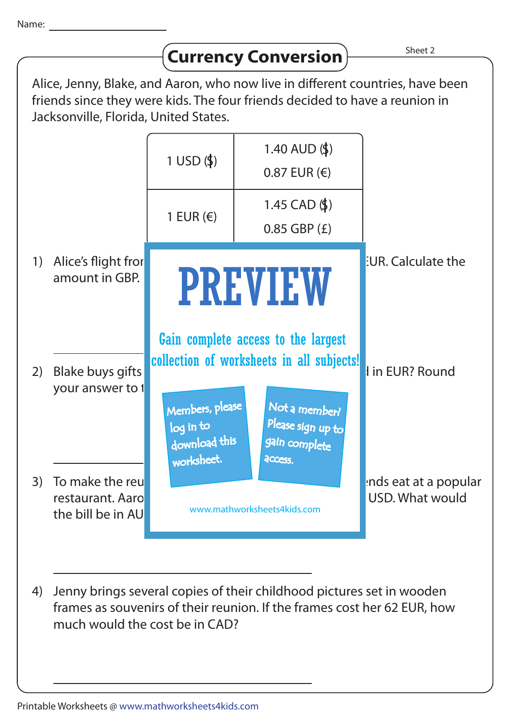| anne.                                                                                                                                                                                                  |                                                          |                                                             |                                                                                                                                         |                                         |
|--------------------------------------------------------------------------------------------------------------------------------------------------------------------------------------------------------|----------------------------------------------------------|-------------------------------------------------------------|-----------------------------------------------------------------------------------------------------------------------------------------|-----------------------------------------|
|                                                                                                                                                                                                        |                                                          |                                                             | <b>Currency Conversion</b>                                                                                                              | Sheet 2                                 |
| Alice, Jenny, Blake, and Aaron, who now live in different countries, have been<br>friends since they were kids. The four friends decided to have a reunion in<br>Jacksonville, Florida, United States. |                                                          |                                                             |                                                                                                                                         |                                         |
|                                                                                                                                                                                                        |                                                          | $1$ USD $($ \$ $)$                                          | 1.40 AUD $(\$)$<br>$0.87$ EUR $(\epsilon)$                                                                                              |                                         |
|                                                                                                                                                                                                        |                                                          | 1 EUR $(\epsilon)$                                          | 1.45 CAD $(\$)$<br>$0.85$ GBP $(E)$                                                                                                     |                                         |
| 1)                                                                                                                                                                                                     | Alice's flight fror<br>amount in GBP.                    |                                                             | <b>PREVIEW</b>                                                                                                                          | <b>EUR.</b> Calculate the               |
| 2)                                                                                                                                                                                                     | Blake buys gifts<br>your answer to t                     | Members, please<br>log in to<br>download this               | Gain complete access to the largest<br>collection of worksheets in all subjects!<br>Not a member?<br>Please sign up to<br>gain complete | I in EUR? Round                         |
| 3)                                                                                                                                                                                                     | To make the reu<br>restaurant. Aaro<br>the bill be in AU | worksheet.<br><b>ACCESS.</b><br>www.mathworksheets4kids.com |                                                                                                                                         | nds eat at a popular<br>USD. What would |
|                                                                                                                                                                                                        |                                                          |                                                             |                                                                                                                                         |                                         |

4) Jenny brings several copies of their childhood pictures set in wooden frames as souvenirs of their reunion. If the frames cost her 62 EUR, how much would the cost be in CAD?